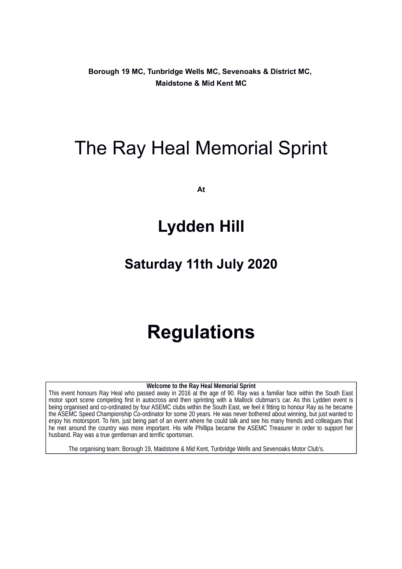**Borough 19 MC, Tunbridge Wells MC, Sevenoaks & District MC, Maidstone & Mid Kent MC**

# The Ray Heal Memorial Sprint

**At**

# **Lydden Hill**

# **Saturday 11th July 2020**

# **Regulations**

**Welcome to the Ray Heal Memorial Sprint**

This event honours Ray Heal who passed away in 2016 at the age of 90. Ray was a familiar face within the South East motor sport scene competing first in autocross and then sprinting with a Mallock clubman's car. As this Lydden event is being organised and co-ordinated by four ASEMC clubs within the South East, we feel it fitting to honour Ray as he became the ASEMC Speed Championship Co-ordinator for some 20 years. He was never bothered about winning, but just wanted to enjoy his motorsport. To him, just being part of an event where he could talk and see his many friends and colleagues that he met around the country was more important. His wife Phillipa became the ASEMC Treasurer in order to support her husband. Ray was a true gentleman and terrific sportsman.

The organising team: Borough 19, Maidstone & Mid Kent, Tunbridge Wells and Sevenoaks Motor Club's.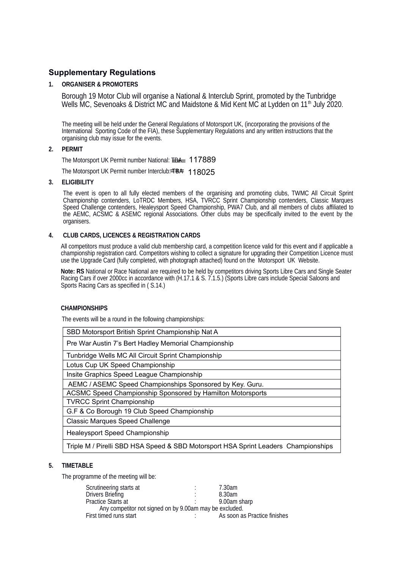# **Supplementary Regulations**

# **1. ORGANISER & PROMOTERS**

 Borough 19 Motor Club will organise a National & Interclub Sprint, promoted by the Tunbridge Wells MC, Sevenoaks & District MC and Maidstone & Mid Kent MC at Lydden on  $11<sup>th</sup>$  July 2020.

The meeting will be held under the General Regulations of Motorsport UK, (incorporating the provisions of the International Sporting Code of the FIA), these Supplementary Regulations and any written instructions that the organising club may issue for the events.

## **2. PERMIT**

The Motorsport UK Permit number National: <del>IBAL</del> 117889

The Motorsport UK Permit number Interclub: TBA 118025

#### **3. ELIGIBILITY**

The event is open to all fully elected members of the organising and promoting clubs, TWMC All Circuit Sprint Championship contenders, LoTRDC Members, HSA, TVRCC Sprint Championship contenders, Classic Marques Speed Challenge contenders, Healeysport Speed Championship, PWA7 Club, and all members of clubs affiliated to the AEMC, ACSMC & ASEMC regional Associations. Other clubs may be specifically invited to the event by the organisers.

## **4. CLUB CARDS, LICENCES & REGISTRATION CARDS**

All competitors must produce a valid club membership card, a competition licence valid for this event and if applicable a championship registration card. Competitors wishing to collect a signature for upgrading their Competition Licence must use the Upgrade Card (fully completed, with photograph attached) found on the Motorsport UK Website.

**Note: RS** National or Race National are required to be held by competitors driving Sports Libre Cars and Single Seater Racing Cars if over 2000cc in accordance with (H.17.1 & S. 7.1.5.) (Sports Libre cars include Special Saloons and Sports Racing Cars as specified in ( S.14.)

#### **CHAMPIONSHIPS**

The events will be a round in the following championships:

| SBD Motorsport British Sprint Championship Nat A                  |
|-------------------------------------------------------------------|
| Pre War Austin 7's Bert Hadley Memorial Championship              |
| Tunbridge Wells MC All Circuit Sprint Championship                |
| Lotus Cup UK Speed Championship                                   |
| Insite Graphics Speed League Championship                         |
| AEMC / ASEMC Speed Championships Sponsored by Key. Guru.          |
| <b>ACSMC Speed Championship Sponsored by Hamilton Motorsports</b> |
| <b>TVRCC Sprint Championship</b>                                  |
| G.F & Co Borough 19 Club Speed Championship                       |
| <b>Classic Marques Speed Challenge</b>                            |
| Healeysport Speed Championship                                    |
|                                                                   |

# Triple M / Pirelli SBD HSA Speed & SBD Motorsport HSA Sprint Leaders Championships

## **5. TIMETABLE**

The programme of the meeting will be:

| Scrutineering starts at                                 | ٠<br>٠ | 7.30am                       |  |  |
|---------------------------------------------------------|--------|------------------------------|--|--|
| Drivers Briefing                                        | ٠      | 8.30am                       |  |  |
| <b>Practice Starts at</b>                               |        | 9.00am sharp                 |  |  |
| Any competitor not signed on by 9.00am may be excluded. |        |                              |  |  |
| First timed runs start                                  |        | As soon as Practice finishes |  |  |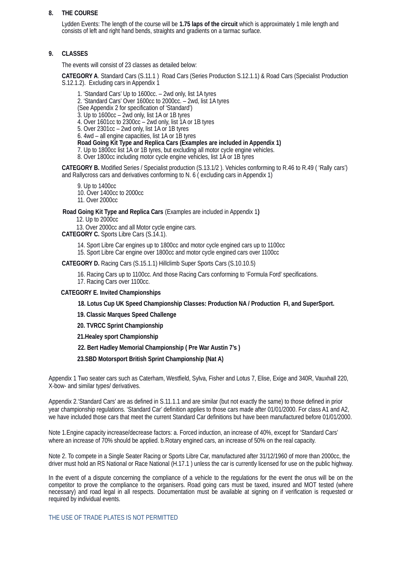#### **8. THE COURSE**

Lydden Events: The length of the course will be **1.75 laps of the circuit** which is approximately 1 mile length and consists of left and right hand bends, straights and gradients on a tarmac surface.

#### **9. CLASSES**

The events will consist of 23 classes as detailed below:

**CATEGORY A**. Standard Cars (S.11.1 ) Road Cars (Series Production S.12.1.1) & Road Cars (Specialist Production S.12.1.2). Excluding cars in Appendix 1

1. 'Standard Cars' Up to 1600cc. – 2wd only, list 1A tyres 2. 'Standard Cars' Over 1600cc to 2000cc. – 2wd, list 1A tyres (See Appendix 2 for specification of 'Standard') 3. Up to 1600cc – 2wd only, list 1A or 1B tyres 4. Over 1601cc to 2300cc – 2wd only, list 1A or 1B tyres 5. Over 2301cc – 2wd only, list 1A or 1B tyres 6. 4wd – all engine capacities, list 1A or 1B tyres **Road Going Kit Type and Replica Cars (Examples are included in Appendix 1)** 7. Up to 1800cc list 1A or 1B tyres, but excluding all motor cycle engine vehicles.

8. Over 1800cc including motor cycle engine vehicles, list 1A or 1B tyres

**CATEGORY B.** Modified Series / Specialist production (S.13.1/2 ). Vehicles conforming to R.46 to R.49 ( 'Rally cars') and Rallycross cars and derivatives conforming to N. 6 (excluding cars in Appendix 1)

9. Up to 1400cc

10. Over 1400cc to 2000cc

11. Over 2000cc

 **Road Going Kit Type and Replica Cars** (Examples are included in Appendix 1**)** 

12. Up to 2000cc

13. Over 2000cc and all Motor cycle engine cars.

**CATEGORY C.** Sports Libre Cars (S.14.1).

14. Sport Libre Car engines up to 1800cc and motor cycle engined cars up to 1100cc

15. Sport Libre Car engine over 1800cc and motor cycle engined cars over 1100cc

**CATEGORY D.** Racing Cars (S.15.1.1) Hillclimb Super Sports Cars (S.10.10.5)

16. Racing Cars up to 1100cc. And those Racing Cars conforming to 'Formula Ford' specifications.

17. Racing Cars over 1100cc.

#### **CATEGORY E. Invited Championships**

 **18. Lotus Cup UK Speed Championship Classes: Production NA / Production FI, and SuperSport.**

 **19. Classic Marques Speed Challenge**

 **20. TVRCC Sprint Championship**

 **21.Healey sport Championship**

 **22. Bert Hadley Memorial Championship ( Pre War Austin 7's )**

 **23.SBD Motorsport British Sprint Championship (Nat A)**

Appendix 1 Two seater cars such as Caterham, Westfield, Sylva, Fisher and Lotus 7, Elise, Exige and 340R, Vauxhall 220, X-bow- and similar types/ derivatives.

Appendix 2.'Standard Cars' are as defined in S.11.1.1 and are similar (but not exactly the same) to those defined in prior year championship regulations. 'Standard Car' definition applies to those cars made after 01/01/2000. For class A1 and A2, we have included those cars that meet the current Standard Car definitions but have been manufactured before 01/01/2000.

Note 1.Engine capacity increase/decrease factors: a. Forced induction, an increase of 40%, except for 'Standard Cars' where an increase of 70% should be applied. b.Rotary engined cars, an increase of 50% on the real capacity.

Note 2. To compete in a Single Seater Racing or Sports Libre Car, manufactured after 31/12/1960 of more than 2000cc, the driver must hold an RS National or Race National (H.17.1 ) unless the car is currently licensed for use on the public highway.

In the event of a dispute concerning the compliance of a vehicle to the regulations for the event the onus will be on the competitor to prove the compliance to the organisers. Road going cars must be taxed, insured and MOT tested (where necessary) and road legal in all respects. Documentation must be available at signing on if verification is requested or required by individual events.

THE USE OF TRADE PLATES IS NOT PERMITTED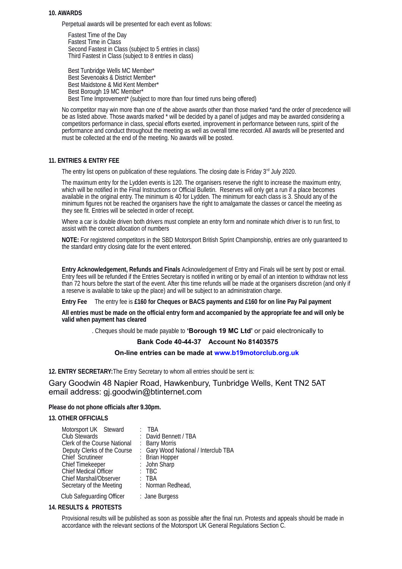#### **10. AWARDS**

Perpetual awards will be presented for each event as follows:

Fastest Time of the Day Fastest Time in Class Second Fastest in Class (subject to 5 entries in class) Third Fastest in Class (subject to 8 entries in class)

Best Tunbridge Wells MC Member\* Best Sevenoaks & District Member\* Best Maidstone & Mid Kent Member\* Best Borough 19 MC Member\* Best Time Improvement\* (subject to more than four timed runs being offered)

No competitor may win more than one of the above awards other than those marked \*and the order of precedence will be as listed above. Those awards marked \* will be decided by a panel of judges and may be awarded considering a competitors performance in class, special efforts exerted, improvement in performance between runs, spirit of the performance and conduct throughout the meeting as well as overall time recorded. All awards will be presented and must be collected at the end of the meeting. No awards will be posted.

#### **11. ENTRIES & ENTRY FEE**

The entry list opens on publication of these regulations. The closing date is Friday 3<sup>rd</sup> July 2020.

The maximum entry for the Lydden events is 120. The organisers reserve the right to increase the maximum entry, which will be notified in the Final Instructions or Official Bulletin. Reserves will only get a run if a place becomes available in the original entry. The minimum is 40 for Lydden. The minimum for each class is 3. Should any of the minimum figures not be reached the organisers have the right to amalgamate the classes or cancel the meeting as they see fit. Entries will be selected in order of receipt.

Where a car is double driven both drivers must complete an entry form and nominate which driver is to run first, to assist with the correct allocation of numbers

**NOTE:** For registered competitors in the SBD Motorsport British Sprint Championship, entries are only guaranteed to the standard entry closing date for the event entered.

**Entry Acknowledgement, Refunds and Finals** Acknowledgement of Entry and Finals will be sent by post or email. Entry fees will be refunded if the Entries Secretary is notified in writing or by email of an intention to withdraw not less than 72 hours before the start of the event. After this time refunds will be made at the organisers discretion (and only if a reserve is available to take up the place) and will be subject to an administration charge.

**Entry Fee** The entry fee is **£160 for Cheques or BACS payments and £160 for on line Pay Pal payment**

**All entries must be made on the official entry form and accompanied by the appropriate fee and will only be valid when payment has cleared**

. Cheques should be made payable to **'Borough 19 MC Ltd'** or paid electronically to

## **Bank Code 40-44-37 Account No 81403575**

#### **On-line entries can be made at [www.b19motorclub.org.uk](http://www.b19motorclub.org.uk/)**

**12. ENTRY SECRETARY:**The Entry Secretary to whom all entries should be sent is:

Gary Goodwin 48 Napier Road, Hawkenbury, Tunbridge Wells, Kent TN2 5AT email address: gj.goodwin@btinternet.com

#### **Please do not phone officials after 9.30pm.**

#### **13. OTHER OFFICIALS**

| Motorsport UK Steward            | TBA                                  |
|----------------------------------|--------------------------------------|
| <b>Club Stewards</b>             | David Bennett / TBA                  |
| Clerk of the Course National     | : Barry Morris                       |
| Deputy Clerks of the Course      | : Gary Wood National / Interclub TBA |
| Chief Scrutineer                 | : Brian Hopper                       |
| <b>Chief Timekeeper</b>          | : John Sharp                         |
| <b>Chief Medical Officer</b>     | $:$ TBC                              |
| <b>Chief Marshal/Observer</b>    | : TBA                                |
| Secretary of the Meeting         | : Norman Redhead,                    |
| <b>Club Safeguarding Officer</b> | : Jane Burgess                       |

#### **14. RESULTS & PROTESTS**

Provisional results will be published as soon as possible after the final run. Protests and appeals should be made in accordance with the relevant sections of the Motorsport UK General Regulations Section C.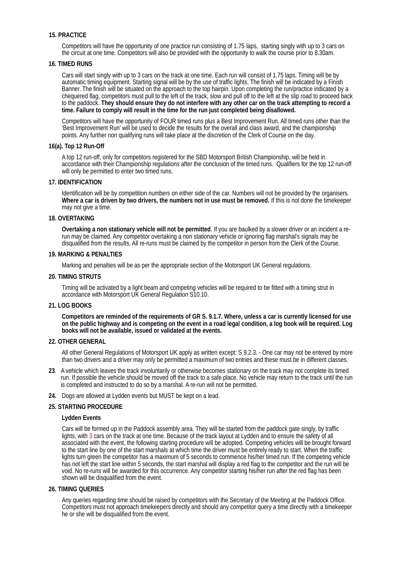#### **15. PRACTICE**

Competitors will have the opportunity of one practice run consisting of 1.75 laps, starting singly with up to 3 cars on the circuit at one time. Competitors will also be provided with the opportunity to walk the course prior to 8.30am.

#### **16. TIMED RUNS**

Cars will start singly with up to 3 cars on the track at one time. Each run will consist of 1.75 laps. Timing will be by automatic timing equipment. Starting signal will be by the use of traffic lights. The finish will be indicated by a Finish Banner. The finish will be situated on the approach to the top hairpin. Upon completing the run/practice indicated by a chequered flag, competitors must pull to the left of the track, slow and pull off to the left at the slip road to proceed back to the paddock. **They should ensure they do not interfere with any other car on the track attempting to record a time. Failure to comply will result in the time for the run just completed being disallowed.** 

Competitors will have the opportunity of FOUR timed runs plus a Best Improvement Run. All timed runs other than the 'Best Improvement Run' will be used to decide the results for the overall and class award, and the championship points. Any further non qualifying runs will take place at the discretion of the Clerk of Course on the day.

#### **16(a). Top 12 Run-Off**

A top 12 run-off, only for competitors registered for the SBD Motorsport British Championship, will be held in accordance with their Championship regulations after the conclusion of the timed runs. Qualifiers for the top 12 run-off will only be permitted to enter two timed runs.

#### **17. IDENTIFICATION**

Identification will be by competition numbers on either side of the car. Numbers will not be provided by the organisers. **Where a car is driven by two drivers, the numbers not in use must be removed.** If this is not done the timekeeper may not give a time.

#### **18. OVERTAKING**

**Overtaking a non stationary vehicle will not be permitted**. If you are baulked by a slower driver or an incident a rerun may be claimed. Any competitor overtaking a non stationary vehicle or ignoring flag marshal's signals may be disqualified from the results. All re-runs must be claimed by the competitor in person from the Clerk of the Course.

#### **19. MARKING & PENALTIES**

Marking and penalties will be as per the appropriate section of the Motorsport UK General regulations.

#### **20. TIMING STRUTS**

Timing will be activated by a light beam and competing vehicles will be required to be fitted with a timing strut in accordance with Motorsport UK General Regulation S10.10.

#### **21. LOG BOOKS**

**Competitors are reminded of the requirements of GR S. 9.1.7. Where, unless a car is currently licensed for use on the public highway and is competing on the event in a road legal condition, a log book will be required. Log books will not be available, issued or validated at the events.**

#### **22. OTHER GENERAL**

All other General Regulations of Motorsport UK apply as written except: S 9.2.3. - One car may not be entered by more than two drivers and a driver may only be permitted a maximum of two entries and these must be in different classes.

- **23**. A vehicle which leaves the track involuntarily or otherwise becomes stationary on the track may not complete its timed run. If possible the vehicle should be moved off the track to a safe place. No vehicle may return to the track until the run is completed and instructed to do so by a marshal. A re-run will not be permitted.
- **24.** Dogs are allowed at Lydden events but MUST be kept on a lead.

#### **25. STARTING PROCEDURE**

#### **Lydden Events**

Cars will be formed up in the Paddock assembly area. They will be started from the paddock gate singly, by traffic lights, with 3 cars on the track at one time. Because of the track layout at Lydden and to ensure the safety of all associated with the event, the following starting procedure will be adopted. Competing vehicles will be brought forward to the start line by one of the start marshals at which time the driver must be entirely ready to start. When the traffic lights turn green the competitor has a maximum of 5 seconds to commence his/her timed run. If the competing vehicle has not left the start line within 5 seconds, the start marshal will display a red flag to the competitor and the run will be void. No re-runs will be awarded for this occurrence. Any competitor starting his/her run after the red flag has been shown will be disqualified from the event.

#### **26. TIMING QUERIES**

Any queries regarding time should be raised by competitors with the Secretary of the Meeting at the Paddock Office. Competitors must not approach timekeepers directly and should any competitor query a time directly with a timekeeper he or she will be disqualified from the event.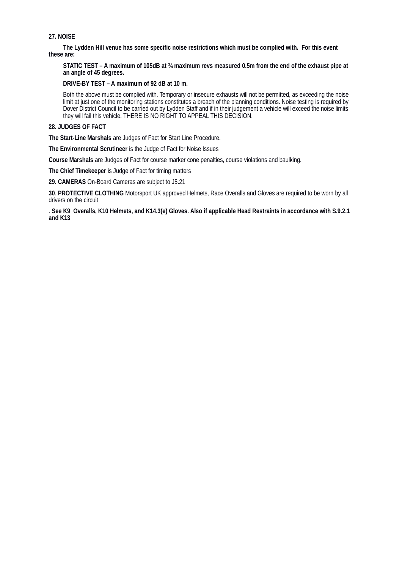# **27. NOISE**

**The Lydden Hill venue has some specific noise restrictions which must be complied with. For this event these are:**

**STATIC TEST – A maximum of 105dB at ¾ maximum revs measured 0.5m from the end of the exhaust pipe at an angle of 45 degrees.**

**DRIVE-BY TEST – A maximum of 92 dB at 10 m.**

Both the above must be complied with. Temporary or insecure exhausts will not be permitted, as exceeding the noise limit at just one of the monitoring stations constitutes a breach of the planning conditions. Noise testing is required by Dover District Council to be carried out by Lydden Staff and if in their judgement a vehicle will exceed the noise limits they will fail this vehicle. THERE IS NO RIGHT TO APPEAL THIS DECISION.

#### **28. JUDGES OF FACT**

**The Start-Line Marshals** are Judges of Fact for Start Line Procedure.

**The Environmental Scrutineer** is the Judge of Fact for Noise Issues

**Course Marshals** are Judges of Fact for course marker cone penalties, course violations and baulking.

**The Chief Timekeeper** is Judge of Fact for timing matters

**29. CAMERAS** On-Board Cameras are subject to J5.21

**30**. **PROTECTIVE CLOTHING** Motorsport UK approved Helmets, Race Overalls and Gloves are required to be worn by all drivers on the circuit

. **See K9 Overalls, K10 Helmets, and K14.3(e) Gloves. Also if applicable Head Restraints in accordance with S.9.2.1 and K13**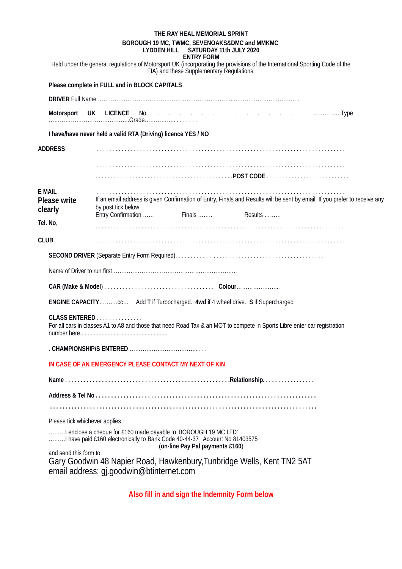|                                | THE RAY HEAL MEMORIAL SPRINT                                                                                                                                                    |
|--------------------------------|---------------------------------------------------------------------------------------------------------------------------------------------------------------------------------|
|                                | BOROUGH 19 MC, TWMC, SEVENOAKS&DMC and MMKMC<br>LYDDEN HILL SATURDAY 11th JULY 2020                                                                                             |
|                                | <b>ENTRY FORM</b>                                                                                                                                                               |
|                                | Held under the general regulations of Motorsport UK (incorporating the provisions of the International Sporting Code of the<br>FIA) and these Supplementary Regulations.        |
|                                | Please complete in FULL and in BLOCK CAPITALS                                                                                                                                   |
|                                |                                                                                                                                                                                 |
| Motorsport                     |                                                                                                                                                                                 |
|                                | I have/have never held a valid RTA (Driving) licence YES / NO                                                                                                                   |
| <b>ADDRESS</b>                 |                                                                                                                                                                                 |
|                                |                                                                                                                                                                                 |
| <b>E MAIL</b>                  |                                                                                                                                                                                 |
| <b>Please write</b><br>clearly | If an email address is given Confirmation of Entry, Finals and Results will be sent by email. If you prefer to receive any<br>by post tick below                                |
| Tel. No,                       | Entry Confirmation                                                                                                                                                              |
|                                |                                                                                                                                                                                 |
| <b>CLUB</b>                    |                                                                                                                                                                                 |
|                                |                                                                                                                                                                                 |
|                                |                                                                                                                                                                                 |
|                                |                                                                                                                                                                                 |
|                                | <b>ENGINE CAPACITY</b> cc Add T if Turbocharged. 4wd if 4 wheel drive. S if Supercharged                                                                                        |
|                                | CLASS ENTERED<br>For all cars in classes A1 to A8 and those that need Road Tax & an MOT to compete in Sports Libre enter car registration                                       |
|                                |                                                                                                                                                                                 |
|                                | IN CASE OF AN EMERGENCY PLEASE CONTACT MY NEXT OF KIN                                                                                                                           |
|                                |                                                                                                                                                                                 |
|                                |                                                                                                                                                                                 |
|                                |                                                                                                                                                                                 |
| Please tick whichever applies  |                                                                                                                                                                                 |
|                                | I enclose a cheque for £160 made payable to 'BOROUGH 19 MC LTD'<br>I have paid £160 electronically to Bank Code 40-44-37 Account No 81403575<br>(on-line Pay Pal payments £160) |
| and send this form to:         | Gary Goodwin 48 Napier Road, Hawkenbury, Tunbridge Wells, Kent TN2 5AT<br>email address: gj.goodwin@btinternet.com                                                              |

**Also fill in and sign the Indemnity Form below**